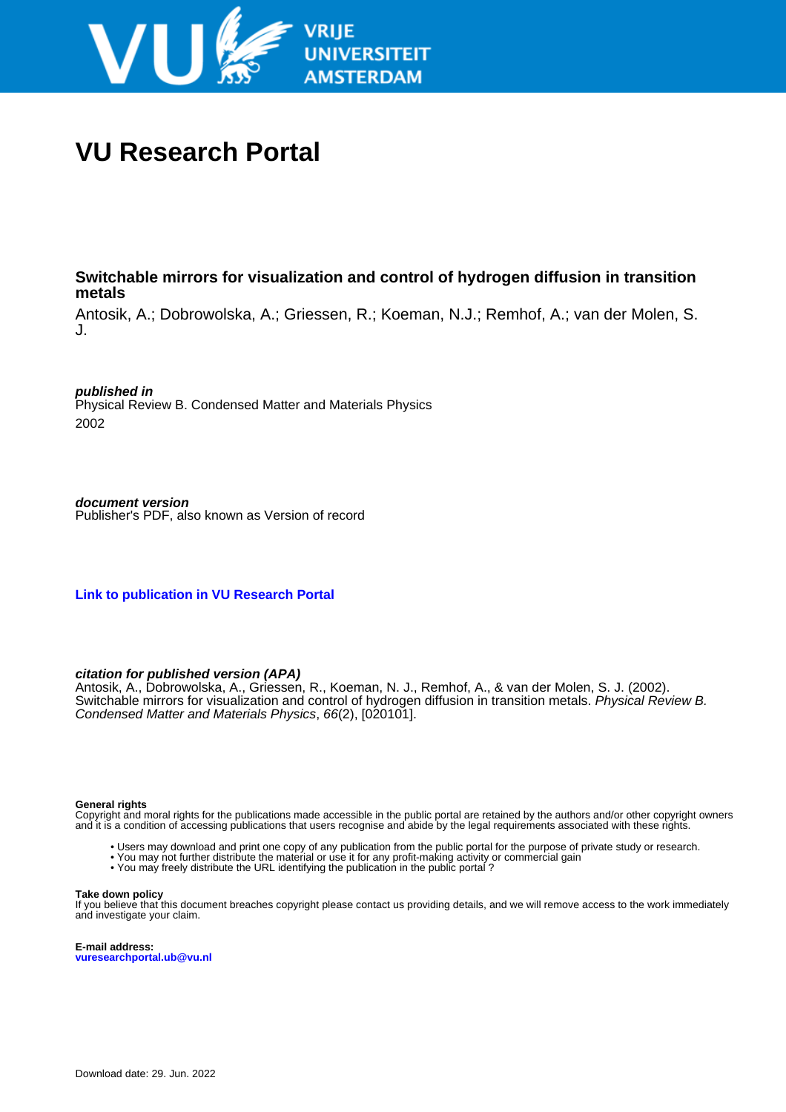

# **VU Research Portal**

## **Switchable mirrors for visualization and control of hydrogen diffusion in transition metals**

Antosik, A.; Dobrowolska, A.; Griessen, R.; Koeman, N.J.; Remhof, A.; van der Molen, S. J.

**published in**

Physical Review B. Condensed Matter and Materials Physics 2002

**document version** Publisher's PDF, also known as Version of record

**[Link to publication in VU Research Portal](https://research.vu.nl/en/publications/39c999fa-3eec-43e8-8e39-9e68e868de1d)**

### **citation for published version (APA)**

Antosik, A., Dobrowolska, A., Griessen, R., Koeman, N. J., Remhof, A., & van der Molen, S. J. (2002). Switchable mirrors for visualization and control of hydrogen diffusion in transition metals. Physical Review B. Condensed Matter and Materials Physics, 66(2), [020101].

#### **General rights**

Copyright and moral rights for the publications made accessible in the public portal are retained by the authors and/or other copyright owners and it is a condition of accessing publications that users recognise and abide by the legal requirements associated with these rights.

- Users may download and print one copy of any publication from the public portal for the purpose of private study or research.
- You may not further distribute the material or use it for any profit-making activity or commercial gain
- You may freely distribute the URL identifying the publication in the public portal ?

#### **Take down policy**

If you believe that this document breaches copyright please contact us providing details, and we will remove access to the work immediately and investigate your claim.

**E-mail address: vuresearchportal.ub@vu.nl**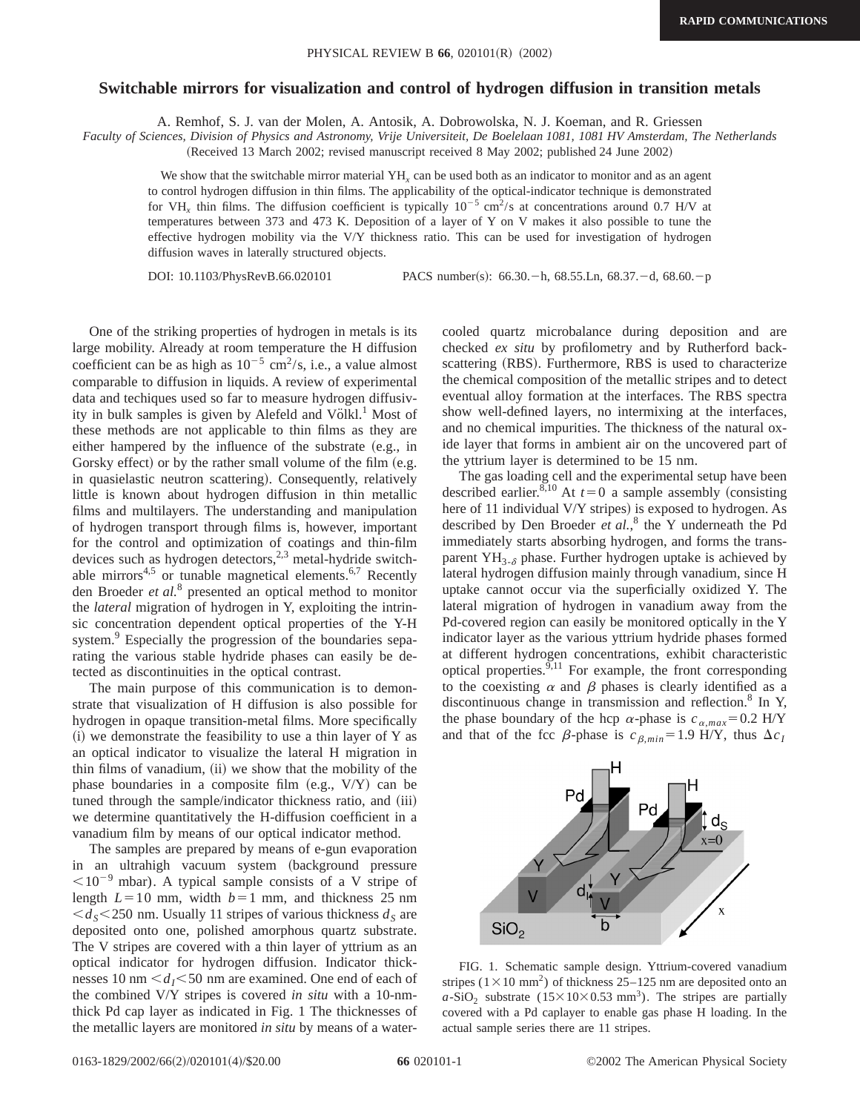#### **Switchable mirrors for visualization and control of hydrogen diffusion in transition metals**

A. Remhof, S. J. van der Molen, A. Antosik, A. Dobrowolska, N. J. Koeman, and R. Griessen

*Faculty of Sciences, Division of Physics and Astronomy, Vrije Universiteit, De Boelelaan 1081, 1081 HV Amsterdam, The Netherlands* (Received 13 March 2002; revised manuscript received 8 May 2002; published 24 June 2002)

We show that the switchable mirror material YH<sub>x</sub> can be used both as an indicator to monitor and as an agent to control hydrogen diffusion in thin films. The applicability of the optical-indicator technique is demonstrated for VH<sub>x</sub> thin films. The diffusion coefficient is typically  $10^{-5}$  cm<sup>2</sup>/s at concentrations around 0.7 H/V at temperatures between 373 and 473 K. Deposition of a layer of Y on V makes it also possible to tune the effective hydrogen mobility via the V/Y thickness ratio. This can be used for investigation of hydrogen diffusion waves in laterally structured objects.

DOI: 10.1103/PhysRevB.66.020101 PACS number(s): 66.30. - h, 68.55.Ln, 68.37. - d, 68.60. - p

One of the striking properties of hydrogen in metals is its large mobility. Already at room temperature the H diffusion coefficient can be as high as  $10^{-5}$  cm<sup>2</sup>/s, i.e., a value almost comparable to diffusion in liquids. A review of experimental data and techiques used so far to measure hydrogen diffusivity in bulk samples is given by Alefeld and Völkl.<sup>1</sup> Most of these methods are not applicable to thin films as they are either hampered by the influence of the substrate  $(e.g., in$ Gorsky effect) or by the rather small volume of the film (e.g. in quasielastic neutron scattering). Consequently, relatively little is known about hydrogen diffusion in thin metallic films and multilayers. The understanding and manipulation of hydrogen transport through films is, however, important for the control and optimization of coatings and thin-film devices such as hydrogen detectors,<sup>2,3</sup> metal-hydride switchable mirrors<sup>4,5</sup> or tunable magnetical elements.<sup>6,7</sup> Recently den Broeder *et al.*<sup>8</sup> presented an optical method to monitor the *lateral* migration of hydrogen in Y, exploiting the intrinsic concentration dependent optical properties of the Y-H system.<sup>9</sup> Especially the progression of the boundaries separating the various stable hydride phases can easily be detected as discontinuities in the optical contrast.

The main purpose of this communication is to demonstrate that visualization of H diffusion is also possible for hydrogen in opaque transition-metal films. More specifically  $(i)$  we demonstrate the feasibility to use a thin layer of Y as an optical indicator to visualize the lateral H migration in thin films of vanadium,  $(ii)$  we show that the mobility of the phase boundaries in a composite film  $(e.g., V/Y)$  can be tuned through the sample/indicator thickness ratio, and (iii) we determine quantitatively the H-diffusion coefficient in a vanadium film by means of our optical indicator method.

The samples are prepared by means of e-gun evaporation in an ultrahigh vacuum system (background pressure  $<$ 10<sup>-9</sup> mbar). A typical sample consists of a V stripe of length  $L=10$  mm, width  $b=1$  mm, and thickness 25 nm  $\langle d_s \rangle$  250 nm. Usually 11 stripes of various thickness  $d_s$  are deposited onto one, polished amorphous quartz substrate. The V stripes are covered with a thin layer of yttrium as an optical indicator for hydrogen diffusion. Indicator thicknesses 10 nm  $\leq d_I$  $\leq$ 50 nm are examined. One end of each of the combined V/Y stripes is covered *in situ* with a 10-nmthick Pd cap layer as indicated in Fig. 1 The thicknesses of the metallic layers are monitored *in situ* by means of a watercooled quartz microbalance during deposition and are checked *ex situ* by profilometry and by Rutherford backscattering (RBS). Furthermore, RBS is used to characterize the chemical composition of the metallic stripes and to detect eventual alloy formation at the interfaces. The RBS spectra show well-defined layers, no intermixing at the interfaces, and no chemical impurities. The thickness of the natural oxide layer that forms in ambient air on the uncovered part of the yttrium layer is determined to be 15 nm.

The gas loading cell and the experimental setup have been described earlier.<sup>8,10</sup> At  $t=0$  a sample assembly (consisting here of 11 individual V/Y stripes) is exposed to hydrogen. As described by Den Broeder *et al.*, <sup>8</sup> the Y underneath the Pd immediately starts absorbing hydrogen, and forms the transparent  $YH_{3-\delta}$  phase. Further hydrogen uptake is achieved by lateral hydrogen diffusion mainly through vanadium, since H uptake cannot occur via the superficially oxidized Y. The lateral migration of hydrogen in vanadium away from the Pd-covered region can easily be monitored optically in the Y indicator layer as the various yttrium hydride phases formed at different hydrogen concentrations, exhibit characteristic optical properties.  $\frac{9,11}{9}$  For example, the front corresponding to the coexisting  $\alpha$  and  $\beta$  phases is clearly identified as a discontinuous change in transmission and reflection.<sup>8</sup> In Y, the phase boundary of the hcp  $\alpha$ -phase is  $c_{\alpha,max} = 0.2$  H/Y and that of the fcc  $\beta$ -phase is  $c_{\beta,min} = 1.9$  H/Y, thus  $\Delta c_I$ 



FIG. 1. Schematic sample design. Yttrium-covered vanadium stripes ( $1 \times 10$  mm<sup>2</sup>) of thickness 25–125 nm are deposited onto an  $a\text{-SiO}_2$  substrate (15×10×0.53 mm<sup>3</sup>). The stripes are partially covered with a Pd caplayer to enable gas phase H loading. In the actual sample series there are 11 stripes.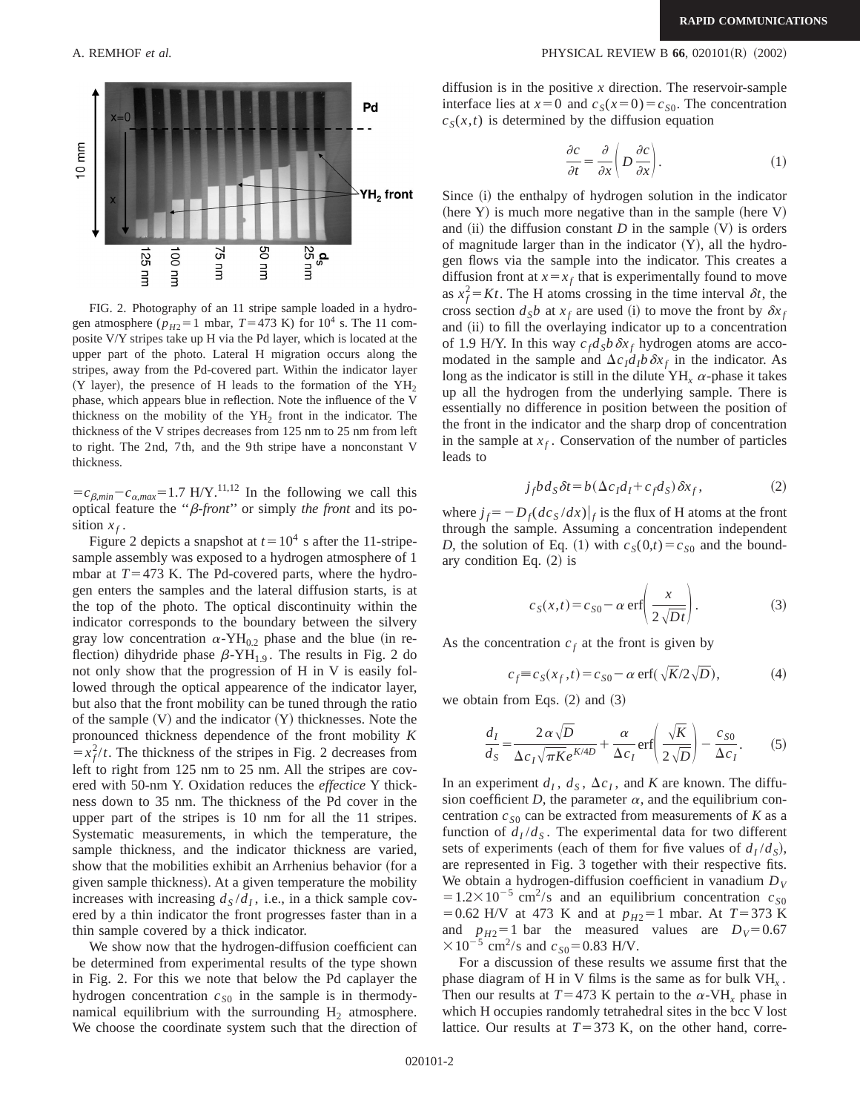

FIG. 2. Photography of an 11 stripe sample loaded in a hydrogen atmosphere ( $p_{H2}$ =1 mbar, *T*=473 K) for 10<sup>4</sup> s. The 11 composite V/Y stripes take up H via the Pd layer, which is located at the upper part of the photo. Lateral H migration occurs along the stripes, away from the Pd-covered part. Within the indicator layer  $(Y$  layer), the presence of H leads to the formation of the  $YH<sub>2</sub>$ phase, which appears blue in reflection. Note the influence of the V thickness on the mobility of the  $YH_2$  front in the indicator. The thickness of the V stripes decreases from 125 nm to 25 nm from left to right. The 2nd, 7th, and the 9th stripe have a nonconstant V thickness.

 $=c_{\beta,min}-c_{\alpha,max}=1.7$  H/Y.<sup>11,12</sup> In the following we call this optical feature the ''b-*front*'' or simply *the front* and its position  $x_f$ .

Figure 2 depicts a snapshot at  $t=10^4$  s after the 11-stripesample assembly was exposed to a hydrogen atmosphere of 1 mbar at  $T=473$  K. The Pd-covered parts, where the hydrogen enters the samples and the lateral diffusion starts, is at the top of the photo. The optical discontinuity within the indicator corresponds to the boundary between the silvery gray low concentration  $\alpha$ -YH<sub>0.2</sub> phase and the blue (in reflection) dihydride phase  $\beta$ -YH<sub>1.9</sub>. The results in Fig. 2 do not only show that the progression of H in V is easily followed through the optical appearence of the indicator layer, but also that the front mobility can be tuned through the ratio of the sample  $(V)$  and the indicator  $(Y)$  thicknesses. Note the pronounced thickness dependence of the front mobility *K*  $=\frac{x_f^2}{t}$ . The thickness of the stripes in Fig. 2 decreases from left to right from 125 nm to 25 nm. All the stripes are covered with 50-nm Y. Oxidation reduces the *effectice* Y thickness down to 35 nm. The thickness of the Pd cover in the upper part of the stripes is 10 nm for all the 11 stripes. Systematic measurements, in which the temperature, the sample thickness, and the indicator thickness are varied, show that the mobilities exhibit an Arrhenius behavior (for a given sample thickness). At a given temperature the mobility increases with increasing  $d_S/d_I$ , i.e., in a thick sample covered by a thin indicator the front progresses faster than in a thin sample covered by a thick indicator.

We show now that the hydrogen-diffusion coefficient can be determined from experimental results of the type shown in Fig. 2. For this we note that below the Pd caplayer the hydrogen concentration  $c_{S0}$  in the sample is in thermodynamical equilibrium with the surrounding  $H_2$  atmosphere. We choose the coordinate system such that the direction of

#### A. REMHOF *et al.* **PHYSICAL REVIEW B 66**, 020101(R) (2002)

diffusion is in the positive *x* direction. The reservoir-sample interface lies at  $x=0$  and  $c_S(x=0)=c_{S0}$ . The concentration  $c_S(x,t)$  is determined by the diffusion equation

$$
\frac{\partial c}{\partial t} = \frac{\partial}{\partial x} \left( D \frac{\partial c}{\partial x} \right). \tag{1}
$$

Since (i) the enthalpy of hydrogen solution in the indicator (here Y) is much more negative than in the sample (here V) and  $(ii)$  the diffusion constant *D* in the sample  $(V)$  is orders of magnitude larger than in the indicator  $(Y)$ , all the hydrogen flows via the sample into the indicator. This creates a diffusion front at  $x = x_f$  that is experimentally found to move as  $x_f^2 = Kt$ . The H atoms crossing in the time interval  $\delta t$ , the cross section  $d_Sb$  at  $x_f$  are used (i) to move the front by  $\delta x_f$ and (ii) to fill the overlaying indicator up to a concentration of 1.9 H/Y. In this way  $c_f d_S b \, \delta x_f$  hydrogen atoms are accomodated in the sample and  $\Delta c_I d_I b \, \delta x_f$  in the indicator. As long as the indicator is still in the dilute  $YH_x \alpha$ -phase it takes up all the hydrogen from the underlying sample. There is essentially no difference in position between the position of the front in the indicator and the sharp drop of concentration in the sample at  $x_f$ . Conservation of the number of particles leads to

$$
j_f b d_S \delta t = b(\Delta c_I d_I + c_f d_S) \delta x_f, \qquad (2)
$$

where  $j_f = -D_f (dc_s/dx)|_f$  is the flux of H atoms at the front through the sample. Assuming a concentration independent *D*, the solution of Eq. (1) with  $c_S(0,t) = c_{S0}$  and the boundary condition Eq.  $(2)$  is

$$
c_S(x,t) = c_{S0} - \alpha \operatorname{erf}\left(\frac{x}{2\sqrt{Dt}}\right).
$$
 (3)

As the concentration  $c_f$  at the front is given by

$$
c_f \equiv c_S(x_f, t) = c_{S0} - \alpha \operatorname{erf}(\sqrt{K}/2\sqrt{D}), \tag{4}
$$

we obtain from Eqs.  $(2)$  and  $(3)$ 

$$
\frac{d_I}{d_S} = \frac{2\,\alpha\,\sqrt{D}}{\Delta c_I \sqrt{\pi K} e^{K/4D}} + \frac{\alpha}{\Delta c_I} \text{erf}\left(\frac{\sqrt{K}}{2\,\sqrt{D}}\right) - \frac{c_{S0}}{\Delta c_I}.\tag{5}
$$

In an experiment  $d_I$ ,  $d_S$ ,  $\Delta c_I$ , and *K* are known. The diffusion coefficient *D*, the parameter  $\alpha$ , and the equilibrium concentration  $c_{S0}$  can be extracted from measurements of *K* as a function of  $d_I/d_S$ . The experimental data for two different sets of experiments (each of them for five values of  $d_I / d_S$ ), are represented in Fig. 3 together with their respective fits. We obtain a hydrogen-diffusion coefficient in vanadium  $D_V$  $=1.2\times10^{-5}$  cm<sup>2</sup>/s and an equilibrium concentration  $c_{S0}$  $=0.62$  H/V at 473 K and at  $p_{H2}=1$  mbar. At  $T=373$  K and  $p_{H2} = 1$  bar the measured values are  $D_V = 0.67$  $\times 10^{-5}$  cm<sup>2</sup>/s and  $c_{S0}$ =0.83 H/V.

For a discussion of these results we assume first that the phase diagram of H in V films is the same as for bulk VH*<sup>x</sup>* . Then our results at  $T=473$  K pertain to the  $\alpha$ -VH<sub>x</sub> phase in which H occupies randomly tetrahedral sites in the bcc V lost lattice. Our results at  $T=373$  K, on the other hand, corre-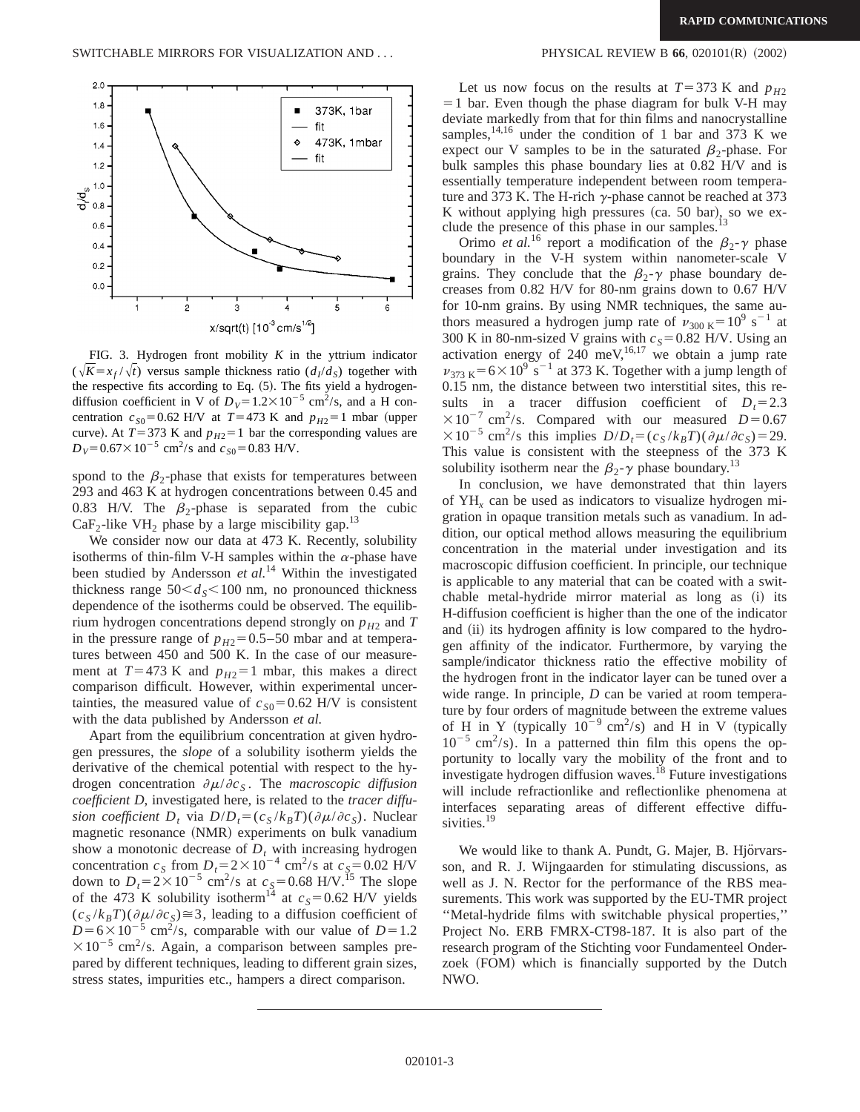

FIG. 3. Hydrogen front mobility *K* in the yttrium indicator  $(\sqrt{K}=x_f/\sqrt{t})$  versus sample thickness ratio  $(d_1/d_s)$  together with the respective fits according to Eq.  $(5)$ . The fits yield a hydrogendiffusion coefficient in V of  $D_V = 1.2 \times 10^{-5}$  cm<sup>2</sup>/s, and a H concentration  $c_{S0}$ =0.62 H/V at *T*=473 K and  $p_{H2}$ =1 mbar (upper curve). At  $T=373$  K and  $p_{H2}=1$  bar the corresponding values are  $D_V$ =0.67×10<sup>-5</sup> cm<sup>2</sup>/s and  $c_{S0}$ =0.83 H/V.

spond to the  $\beta_2$ -phase that exists for temperatures between 293 and 463 K at hydrogen concentrations between 0.45 and 0.83 H/V. The  $\beta_2$ -phase is separated from the cubic  $CaF<sub>2</sub>$ -like VH<sub>2</sub> phase by a large miscibility gap.<sup>13</sup>

We consider now our data at 473 K. Recently, solubility isotherms of thin-film V-H samples within the  $\alpha$ -phase have been studied by Andersson *et al.*<sup>14</sup> Within the investigated thickness range  $50 < d_s < 100$  nm, no pronounced thickness dependence of the isotherms could be observed. The equilibrium hydrogen concentrations depend strongly on  $p_{H2}$  and  $T$ in the pressure range of  $p_{H2}$ =0.5–50 mbar and at temperatures between 450 and 500 K. In the case of our measurement at  $T=473$  K and  $p_{H2}=1$  mbar, this makes a direct comparison difficult. However, within experimental uncertainties, the measured value of  $c_{S0}$ =0.62 H/V is consistent with the data published by Andersson *et al.*

Apart from the equilibrium concentration at given hydrogen pressures, the *slope* of a solubility isotherm yields the derivative of the chemical potential with respect to the hydrogen concentration  $\partial \mu / \partial c_S$ . The *macroscopic diffusion coefficient D*, investigated here, is related to the *tracer diffusion coefficient*  $D_t$  via  $D/D_t = (c_S / k_B T)(\partial \mu / \partial c_S)$ . Nuclear magnetic resonance (NMR) experiments on bulk vanadium show a monotonic decrease of  $D<sub>t</sub>$  with increasing hydrogen concentration  $c_S$  from  $D_t = 2 \times 10^{-4}$  cm<sup>2</sup>/s at  $c_S = 0.02$  H/V down to  $D_t = 2 \times 10^{-5}$  cm<sup>2</sup>/s at  $c_s = 0.68$  H/V.<sup>15</sup> The slope of the 473 K solubility isotherm<sup>14</sup> at  $c_s$ =0.62 H/V yields  $(c_S / k_B T)(\partial \mu / \partial c_S) \cong 3$ , leading to a diffusion coefficient of  $D=6\times10^{-5}$  cm<sup>2</sup>/s, comparable with our value of  $D=1.2$  $\times 10^{-5}$  cm<sup>2</sup>/s. Again, a comparison between samples prepared by different techniques, leading to different grain sizes, stress states, impurities etc., hampers a direct comparison.

Let us now focus on the results at  $T=373$  K and  $p_{H2}$  $=1$  bar. Even though the phase diagram for bulk V-H may deviate markedly from that for thin films and nanocrystalline samples,<sup>14,16</sup> under the condition of 1 bar and 373 K we expect our V samples to be in the saturated  $\beta_2$ -phase. For bulk samples this phase boundary lies at 0.82 H/V and is essentially temperature independent between room temperature and 373 K. The H-rich  $\gamma$ -phase cannot be reached at 373 K without applying high pressures (ca. 50 bar), so we exclude the presence of this phase in our samples. $^{13}$ 

Orimo *et al.*<sup>16</sup> report a modification of the  $\beta_2$ - $\gamma$  phase boundary in the V-H system within nanometer-scale V grains. They conclude that the  $\beta_2$ - $\gamma$  phase boundary decreases from 0.82 H/V for 80-nm grains down to 0.67 H/V for 10-nm grains. By using NMR techniques, the same authors measured a hydrogen jump rate of  $v_{300 \text{ K}} = 10^9 \text{ s}^{-1}$  at 300 K in 80-nm-sized V grains with  $c_s$ =0.82 H/V. Using an activation energy of  $240 \text{ meV}^{16,17}$  we obtain a jump rate  $v_{373 \text{ K}} = 6 \times 10^9 \text{ s}^{-1}$  at 373 K. Together with a jump length of 0.15 nm, the distance between two interstitial sites, this results in a tracer diffusion coefficient of  $D<sub>t</sub>=2.3$  $\times 10^{-7}$  cm<sup>2</sup>/s. Compared with our measured *D*=0.67  $\times 10^{-5}$  cm<sup>2</sup>/s this implies  $D/D_t = (c_S / k_B T)(\partial \mu / \partial c_S) = 29$ . This value is consistent with the steepness of the 373 K solubility isotherm near the  $\beta_2$ - $\gamma$  phase boundary.<sup>13</sup>

In conclusion, we have demonstrated that thin layers of YH*<sup>x</sup>* can be used as indicators to visualize hydrogen migration in opaque transition metals such as vanadium. In addition, our optical method allows measuring the equilibrium concentration in the material under investigation and its macroscopic diffusion coefficient. In principle, our technique is applicable to any material that can be coated with a switchable metal-hydride mirror material as long as  $(i)$  its H-diffusion coefficient is higher than the one of the indicator and (ii) its hydrogen affinity is low compared to the hydrogen affinity of the indicator. Furthermore, by varying the sample/indicator thickness ratio the effective mobility of the hydrogen front in the indicator layer can be tuned over a wide range. In principle, *D* can be varied at room temperature by four orders of magnitude between the extreme values of H in Y (typically  $10^{-9}$  cm<sup>2</sup>/s) and H in V (typically  $10^{-5}$  cm<sup>2</sup>/s). In a patterned thin film this opens the opportunity to locally vary the mobility of the front and to investigate hydrogen diffusion waves.<sup>18</sup> Future investigations will include refractionlike and reflectionlike phenomena at interfaces separating areas of different effective diffusivities.<sup>19</sup>

We would like to thank A. Pundt, G. Majer, B. Hjörvarsson, and R. J. Wijngaarden for stimulating discussions, as well as J. N. Rector for the performance of the RBS measurements. This work was supported by the EU-TMR project ''Metal-hydride films with switchable physical properties,'' Project No. ERB FMRX-CT98-187. It is also part of the research program of the Stichting voor Fundamenteel Onderzoek (FOM) which is financially supported by the Dutch NWO.